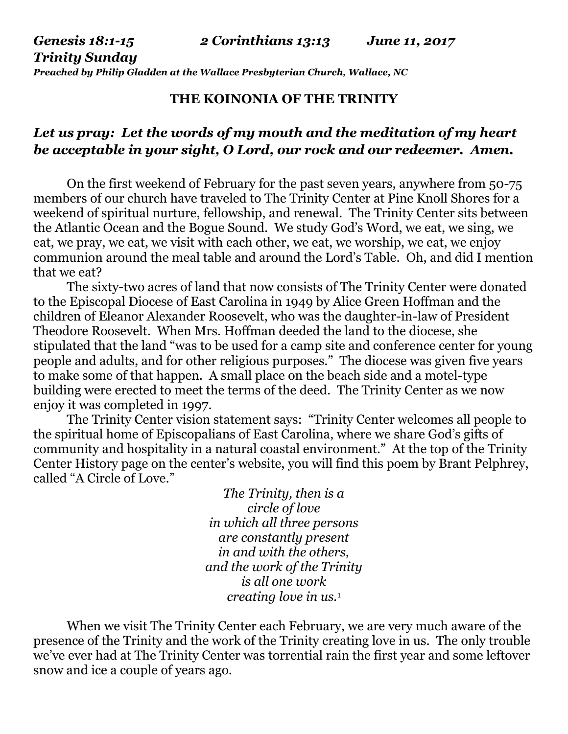*Preached by Philip Gladden at the Wallace Presbyterian Church, Wallace, NC*

## **THE KOINONIA OF THE TRINITY**

## *Let us pray: Let the words of my mouth and the meditation of my heart be acceptable in your sight, O Lord, our rock and our redeemer. Amen.*

On the first weekend of February for the past seven years, anywhere from 50-75 members of our church have traveled to The Trinity Center at Pine Knoll Shores for a weekend of spiritual nurture, fellowship, and renewal. The Trinity Center sits between the Atlantic Ocean and the Bogue Sound. We study God's Word, we eat, we sing, we eat, we pray, we eat, we visit with each other, we eat, we worship, we eat, we enjoy communion around the meal table and around the Lord's Table. Oh, and did I mention that we eat?

The sixty-two acres of land that now consists of The Trinity Center were donated to the Episcopal Diocese of East Carolina in 1949 by Alice Green Hoffman and the children of Eleanor Alexander Roosevelt, who was the daughter-in-law of President Theodore Roosevelt. When Mrs. Hoffman deeded the land to the diocese, she stipulated that the land "was to be used for a camp site and conference center for young people and adults, and for other religious purposes." The diocese was given five years to make some of that happen. A small place on the beach side and a motel-type building were erected to meet the terms of the deed. The Trinity Center as we now enjoy it was completed in 1997.

The Trinity Center vision statement says: "Trinity Center welcomes all people to the spiritual home of Episcopalians of East Carolina, where we share God's gifts of community and hospitality in a natural coastal environment." At the top of the Trinity Center History page on the center's website, you will find this poem by Brant Pelphrey, called "A Circle of Love."

> *The Trinity, then is a circle of love in which all three persons are constantly present in and with the others, and the work of the Trinity is all one work creating love in us.*<sup>1</sup>

When we visit The Trinity Center each February, we are very much aware of the presence of the Trinity and the work of the Trinity creating love in us. The only trouble we've ever had at The Trinity Center was torrential rain the first year and some leftover snow and ice a couple of years ago.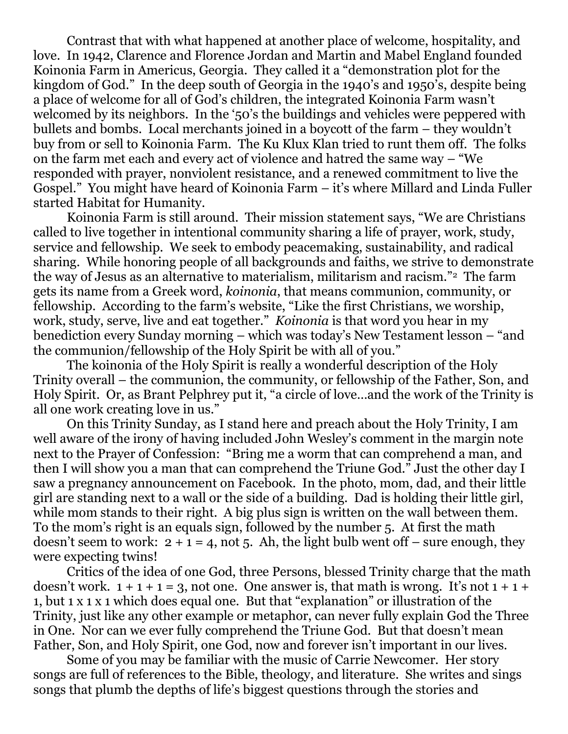Contrast that with what happened at another place of welcome, hospitality, and love. In 1942, Clarence and Florence Jordan and Martin and Mabel England founded Koinonia Farm in Americus, Georgia. They called it a "demonstration plot for the kingdom of God." In the deep south of Georgia in the 1940's and 1950's, despite being a place of welcome for all of God's children, the integrated Koinonia Farm wasn't welcomed by its neighbors. In the '50's the buildings and vehicles were peppered with bullets and bombs. Local merchants joined in a boycott of the farm – they wouldn't buy from or sell to Koinonia Farm. The Ku Klux Klan tried to runt them off. The folks on the farm met each and every act of violence and hatred the same way – "We responded with prayer, nonviolent resistance, and a renewed commitment to live the Gospel." You might have heard of Koinonia Farm – it's where Millard and Linda Fuller started Habitat for Humanity.

Koinonia Farm is still around. Their mission statement says, "We are Christians called to live together in intentional community sharing a life of prayer, work, study, service and fellowship. We seek to embody peacemaking, sustainability, and radical sharing. While honoring people of all backgrounds and faiths, we strive to demonstrate the way of Jesus as an alternative to materialism, militarism and racism."2 The farm gets its name from a Greek word, *koinonia*, that means communion, community, or fellowship. According to the farm's website, "Like the first Christians, we worship, work, study, serve, live and eat together." *Koinonia* is that word you hear in my benediction every Sunday morning – which was today's New Testament lesson – "and the communion/fellowship of the Holy Spirit be with all of you."

The koinonia of the Holy Spirit is really a wonderful description of the Holy Trinity overall – the communion, the community, or fellowship of the Father, Son, and Holy Spirit. Or, as Brant Pelphrey put it, "a circle of love…and the work of the Trinity is all one work creating love in us."

On this Trinity Sunday, as I stand here and preach about the Holy Trinity, I am well aware of the irony of having included John Wesley's comment in the margin note next to the Prayer of Confession: "Bring me a worm that can comprehend a man, and then I will show you a man that can comprehend the Triune God*.*" Just the other day I saw a pregnancy announcement on Facebook. In the photo, mom, dad, and their little girl are standing next to a wall or the side of a building. Dad is holding their little girl, while mom stands to their right. A big plus sign is written on the wall between them. To the mom's right is an equals sign, followed by the number 5. At first the math doesn't seem to work:  $2 + 1 = 4$ , not 5. Ah, the light bulb went off – sure enough, they were expecting twins!

Critics of the idea of one God, three Persons, blessed Trinity charge that the math doesn't work.  $1 + 1 + 1 = 3$ , not one. One answer is, that math is wrong. It's not  $1 + 1 +$ 1, but 1 x 1 x 1 which does equal one. But that "explanation" or illustration of the Trinity, just like any other example or metaphor, can never fully explain God the Three in One. Nor can we ever fully comprehend the Triune God. But that doesn't mean Father, Son, and Holy Spirit, one God, now and forever isn't important in our lives.

Some of you may be familiar with the music of Carrie Newcomer. Her story songs are full of references to the Bible, theology, and literature. She writes and sings songs that plumb the depths of life's biggest questions through the stories and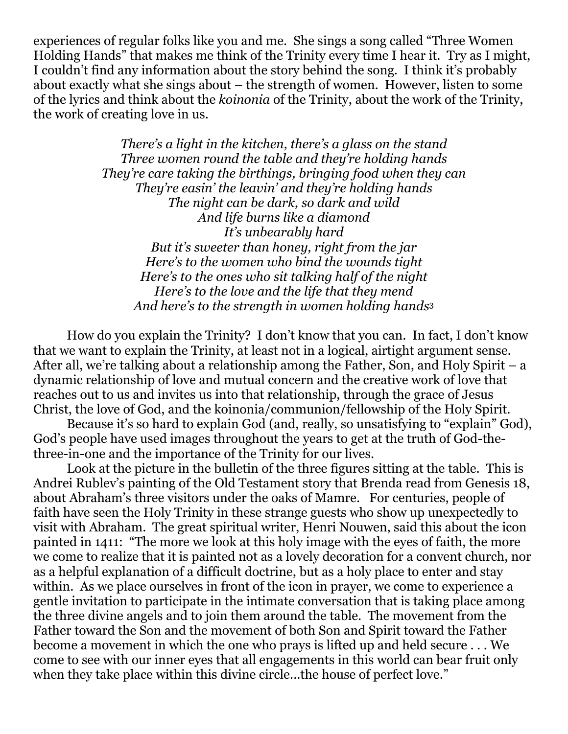experiences of regular folks like you and me. She sings a song called "Three Women Holding Hands" that makes me think of the Trinity every time I hear it. Try as I might, I couldn't find any information about the story behind the song. I think it's probably about exactly what she sings about – the strength of women. However, listen to some of the lyrics and think about the *koinonia* of the Trinity, about the work of the Trinity, the work of creating love in us.

> *There's a light in the kitchen, there's a glass on the stand Three women round the table and they're holding hands They're care taking the birthings, bringing food when they can They're easin' the leavin' and they're holding hands The night can be dark, so dark and wild And life burns like a diamond It's unbearably hard But it's sweeter than honey, right from the jar Here's to the women who bind the wounds tight Here's to the ones who sit talking half of the night Here's to the love and the life that they mend And here's to the strength in women holding hands*<sup>3</sup>

How do you explain the Trinity? I don't know that you can. In fact, I don't know that we want to explain the Trinity, at least not in a logical, airtight argument sense. After all, we're talking about a relationship among the Father, Son, and Holy Spirit – a dynamic relationship of love and mutual concern and the creative work of love that reaches out to us and invites us into that relationship, through the grace of Jesus Christ, the love of God, and the koinonia/communion/fellowship of the Holy Spirit.

Because it's so hard to explain God (and, really, so unsatisfying to "explain" God), God's people have used images throughout the years to get at the truth of God-thethree-in-one and the importance of the Trinity for our lives.

Look at the picture in the bulletin of the three figures sitting at the table. This is Andrei Rublev's painting of the Old Testament story that Brenda read from Genesis 18, about Abraham's three visitors under the oaks of Mamre. For centuries, people of faith have seen the Holy Trinity in these strange guests who show up unexpectedly to visit with Abraham. The great spiritual writer, Henri Nouwen, said this about the icon painted in 1411: "The more we look at this holy image with the eyes of faith, the more we come to realize that it is painted not as a lovely decoration for a convent church, nor as a helpful explanation of a difficult doctrine, but as a holy place to enter and stay within. As we place ourselves in front of the icon in prayer, we come to experience a gentle invitation to participate in the intimate conversation that is taking place among the three divine angels and to join them around the table. The movement from the Father toward the Son and the movement of both Son and Spirit toward the Father become a movement in which the one who prays is lifted up and held secure . . . We come to see with our inner eyes that all engagements in this world can bear fruit only when they take place within this divine circle...the house of perfect love."